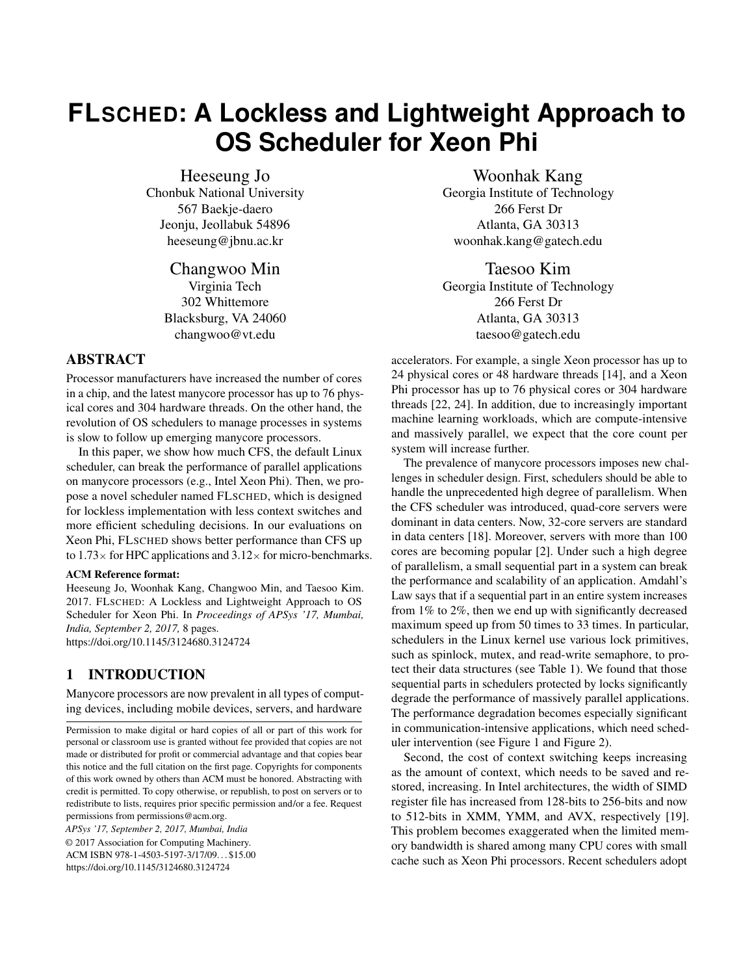# **FLSCHED: A Lockless and Lightweight Approach to OS Scheduler for Xeon Phi**

Heeseung Jo

Chonbuk National University 567 Baekje-daero Jeonju, Jeollabuk 54896 heeseung@jbnu.ac.kr

> Changwoo Min Virginia Tech 302 Whittemore Blacksburg, VA 24060 changwoo@vt.edu

## ABSTRACT

Processor manufacturers have increased the number of cores in a chip, and the latest manycore processor has up to 76 physical cores and 304 hardware threads. On the other hand, the revolution of OS schedulers to manage processes in systems is slow to follow up emerging manycore processors.

In this paper, we show how much CFS, the default Linux scheduler, can break the performance of parallel applications on manycore processors (e.g., Intel Xeon Phi). Then, we propose a novel scheduler named FLSCHED, which is designed for lockless implementation with less context switches and more efficient scheduling decisions. In our evaluations on Xeon Phi, FLSCHED shows better performance than CFS up to  $1.73\times$  for HPC applications and  $3.12\times$  for micro-benchmarks.

#### ACM Reference format:

Heeseung Jo, Woonhak Kang, Changwoo Min, and Taesoo Kim. 2017. FLSCHED: A Lockless and Lightweight Approach to OS Scheduler for Xeon Phi. In *Proceedings of APSys '17, Mumbai, India, September 2, 2017,* [8](#page-7-0) pages. <https://doi.org/10.1145/3124680.3124724>

## 1 INTRODUCTION

Manycore processors are now prevalent in all types of computing devices, including mobile devices, servers, and hardware

*APSys '17, September 2, 2017, Mumbai, India* © 2017 Association for Computing Machinery. ACM ISBN 978-1-4503-5197-3/17/09. . . \$15.00 <https://doi.org/10.1145/3124680.3124724>

Woonhak Kang Georgia Institute of Technology 266 Ferst Dr Atlanta, GA 30313 woonhak.kang@gatech.edu

Taesoo Kim Georgia Institute of Technology 266 Ferst Dr Atlanta, GA 30313 taesoo@gatech.edu

accelerators. For example, a single Xeon processor has up to 24 physical cores or 48 hardware threads [\[14\]](#page-6-0), and a Xeon Phi processor has up to 76 physical cores or 304 hardware threads [\[22,](#page-7-1) [24\]](#page-7-2). In addition, due to increasingly important machine learning workloads, which are compute-intensive and massively parallel, we expect that the core count per system will increase further.

The prevalence of manycore processors imposes new challenges in scheduler design. First, schedulers should be able to handle the unprecedented high degree of parallelism. When the CFS scheduler was introduced, quad-core servers were dominant in data centers. Now, 32-core servers are standard in data centers [\[18\]](#page-7-3). Moreover, servers with more than 100 cores are becoming popular [\[2\]](#page-6-1). Under such a high degree of parallelism, a small sequential part in a system can break the performance and scalability of an application. Amdahl's Law says that if a sequential part in an entire system increases from 1% to 2%, then we end up with significantly decreased maximum speed up from 50 times to 33 times. In particular, schedulers in the Linux kernel use various lock primitives, such as spinlock, mutex, and read-write semaphore, to protect their data structures (see [Table 1\)](#page-2-0). We found that those sequential parts in schedulers protected by locks significantly degrade the performance of massively parallel applications. The performance degradation becomes especially significant in communication-intensive applications, which need scheduler intervention (see [Figure 1](#page-1-0) and [Figure 2\)](#page-1-1).

Second, the cost of context switching keeps increasing as the amount of context, which needs to be saved and restored, increasing. In Intel architectures, the width of SIMD register file has increased from 128-bits to 256-bits and now to 512-bits in XMM, YMM, and AVX, respectively [\[19\]](#page-7-4). This problem becomes exaggerated when the limited memory bandwidth is shared among many CPU cores with small cache such as Xeon Phi processors. Recent schedulers adopt

Permission to make digital or hard copies of all or part of this work for personal or classroom use is granted without fee provided that copies are not made or distributed for profit or commercial advantage and that copies bear this notice and the full citation on the first page. Copyrights for components of this work owned by others than ACM must be honored. Abstracting with credit is permitted. To copy otherwise, or republish, to post on servers or to redistribute to lists, requires prior specific permission and/or a fee. Request permissions from permissions@acm.org.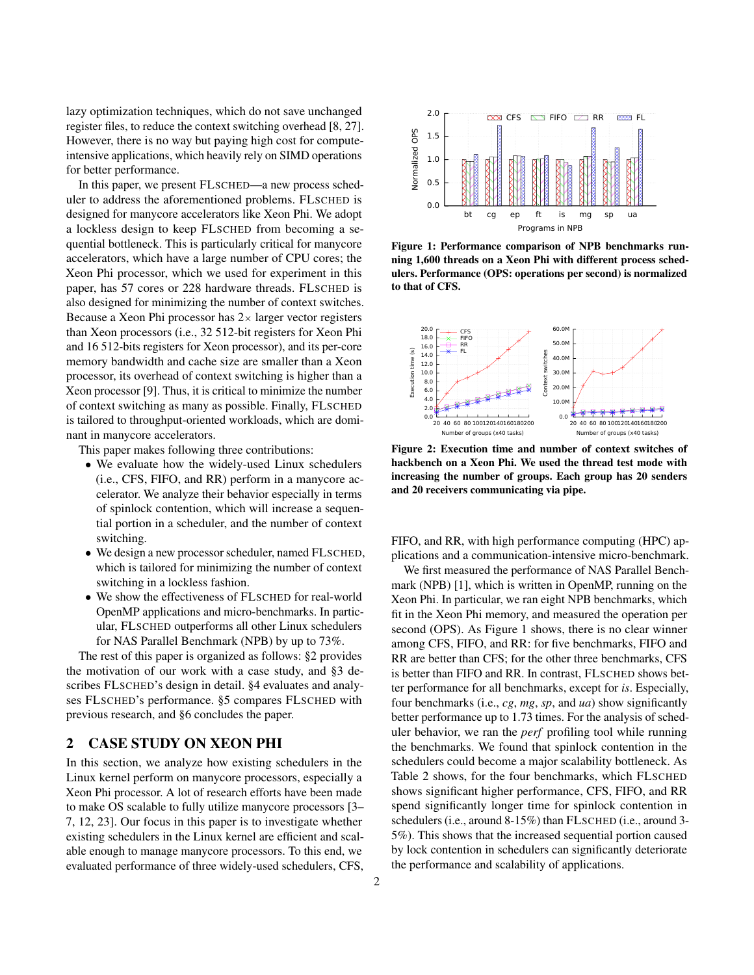lazy optimization techniques, which do not save unchanged register files, to reduce the context switching overhead [\[8,](#page-6-2) [27\]](#page-7-5). However, there is no way but paying high cost for computeintensive applications, which heavily rely on SIMD operations for better performance.

In this paper, we present FLSCHED—a new process scheduler to address the aforementioned problems. FLSCHED is designed for manycore accelerators like Xeon Phi. We adopt a lockless design to keep FLSCHED from becoming a sequential bottleneck. This is particularly critical for manycore accelerators, which have a large number of CPU cores; the Xeon Phi processor, which we used for experiment in this paper, has 57 cores or 228 hardware threads. FLSCHED is also designed for minimizing the number of context switches. Because a Xeon Phi processor has  $2 \times$  larger vector registers than Xeon processors (i.e., 32 512-bit registers for Xeon Phi and 16 512-bits registers for Xeon processor), and its per-core memory bandwidth and cache size are smaller than a Xeon processor, its overhead of context switching is higher than a Xeon processor [\[9\]](#page-6-3). Thus, it is critical to minimize the number of context switching as many as possible. Finally, FLSCHED is tailored to throughput-oriented workloads, which are dominant in manycore accelerators.

This paper makes following three contributions:

- ∙ We evaluate how the widely-used Linux schedulers (i.e., CFS, FIFO, and RR) perform in a manycore accelerator. We analyze their behavior especially in terms of spinlock contention, which will increase a sequential portion in a scheduler, and the number of context switching.
- ∙ We design a new processor scheduler, named FLSCHED, which is tailored for minimizing the number of context switching in a lockless fashion.
- ∙ We show the effectiveness of FLSCHED for real-world OpenMP applications and micro-benchmarks. In particular, FLSCHED outperforms all other Linux schedulers for NAS Parallel Benchmark (NPB) by up to 73%.

The rest of this paper is organized as follows: [§2](#page-1-2) provides the motivation of our work with a case study, and [§3](#page-2-1) describes FLSCHED's design in detail. [§4](#page-3-0) evaluates and analyses FLSCHED's performance. [§5](#page-6-4) compares FLSCHED with previous research, and [§6](#page-6-5) concludes the paper.

## <span id="page-1-2"></span>2 CASE STUDY ON XEON PHI

In this section, we analyze how existing schedulers in the Linux kernel perform on manycore processors, especially a Xeon Phi processor. A lot of research efforts have been made to make OS scalable to fully utilize manycore processors [\[3–](#page-6-6) [7,](#page-6-7) [12,](#page-6-8) [23\]](#page-7-6). Our focus in this paper is to investigate whether existing schedulers in the Linux kernel are efficient and scalable enough to manage manycore processors. To this end, we evaluated performance of three widely-used schedulers, CFS,

<span id="page-1-0"></span>

Figure 1: Performance comparison of NPB benchmarks running 1,600 threads on a Xeon Phi with different process schedulers. Performance (OPS: operations per second) is normalized to that of CFS.

<span id="page-1-1"></span>

Figure 2: Execution time and number of context switches of hackbench on a Xeon Phi. We used the thread test mode with increasing the number of groups. Each group has 20 senders and 20 receivers communicating via pipe.

FIFO, and RR, with high performance computing (HPC) applications and a communication-intensive micro-benchmark.

We first measured the performance of NAS Parallel Benchmark (NPB) [\[1\]](#page-6-9), which is written in OpenMP, running on the Xeon Phi. In particular, we ran eight NPB benchmarks, which fit in the Xeon Phi memory, and measured the operation per second (OPS). As [Figure 1](#page-1-0) shows, there is no clear winner among CFS, FIFO, and RR: for five benchmarks, FIFO and RR are better than CFS; for the other three benchmarks, CFS is better than FIFO and RR. In contrast, FLSCHED shows better performance for all benchmarks, except for *is*. Especially, four benchmarks (i.e., *cg*, *mg*, *sp*, and *ua*) show significantly better performance up to 1.73 times. For the analysis of scheduler behavior, we ran the *perf* profiling tool while running the benchmarks. We found that spinlock contention in the schedulers could become a major scalability bottleneck. As [Table 2](#page-4-0) shows, for the four benchmarks, which FLSCHED shows significant higher performance, CFS, FIFO, and RR spend significantly longer time for spinlock contention in schedulers (i.e., around 8-15%) than FLSCHED (i.e., around 3- 5%). This shows that the increased sequential portion caused by lock contention in schedulers can significantly deteriorate the performance and scalability of applications.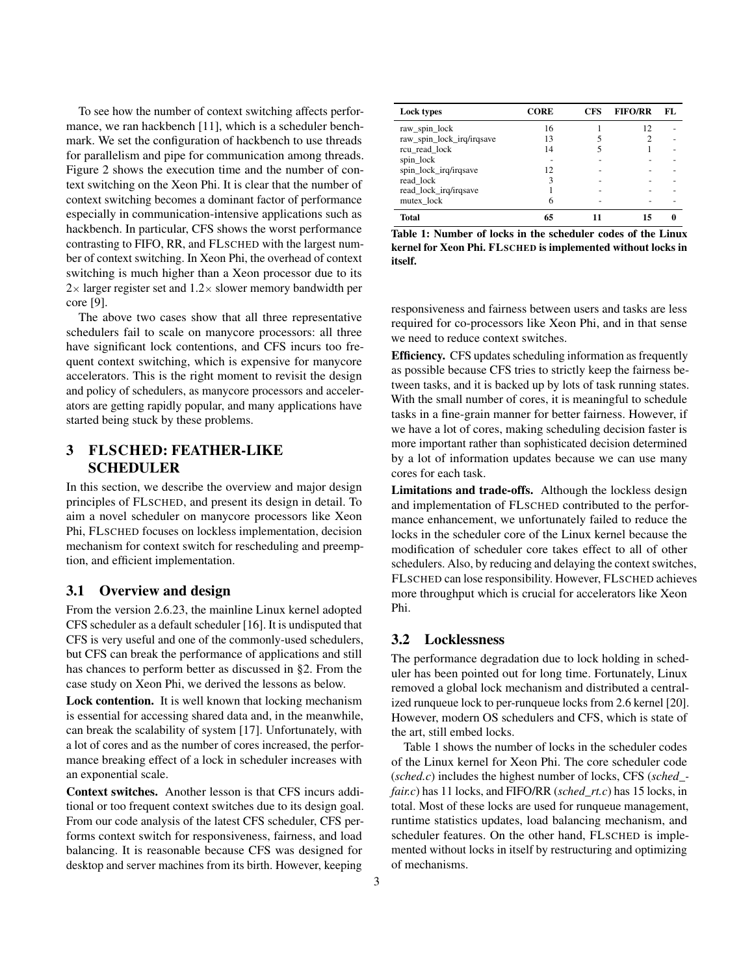To see how the number of context switching affects perfor-mance, we ran hackbench [\[11\]](#page-6-10), which is a scheduler benchmark. We set the configuration of hackbench to use threads for parallelism and pipe for communication among threads. [Figure 2](#page-1-1) shows the execution time and the number of context switching on the Xeon Phi. It is clear that the number of context switching becomes a dominant factor of performance especially in communication-intensive applications such as hackbench. In particular, CFS shows the worst performance contrasting to FIFO, RR, and FLSCHED with the largest number of context switching. In Xeon Phi, the overhead of context switching is much higher than a Xeon processor due to its  $2\times$  larger register set and  $1.2\times$  slower memory bandwidth per core [\[9\]](#page-6-3).

The above two cases show that all three representative schedulers fail to scale on manycore processors: all three have significant lock contentions, and CFS incurs too frequent context switching, which is expensive for manycore accelerators. This is the right moment to revisit the design and policy of schedulers, as manycore processors and accelerators are getting rapidly popular, and many applications have started being stuck by these problems.

## <span id="page-2-1"></span>3 FLSCHED: FEATHER-LIKE SCHEDULER

In this section, we describe the overview and major design principles of FLSCHED, and present its design in detail. To aim a novel scheduler on manycore processors like Xeon Phi, FLSCHED focuses on lockless implementation, decision mechanism for context switch for rescheduling and preemption, and efficient implementation.

#### 3.1 Overview and design

From the version 2.6.23, the mainline Linux kernel adopted CFS scheduler as a default scheduler [\[16\]](#page-6-11). It is undisputed that CFS is very useful and one of the commonly-used schedulers, but CFS can break the performance of applications and still has chances to perform better as discussed in [§2.](#page-1-2) From the case study on Xeon Phi, we derived the lessons as below.

Lock contention. It is well known that locking mechanism is essential for accessing shared data and, in the meanwhile, can break the scalability of system [\[17\]](#page-7-7). Unfortunately, with a lot of cores and as the number of cores increased, the performance breaking effect of a lock in scheduler increases with an exponential scale.

Context switches. Another lesson is that CFS incurs additional or too frequent context switches due to its design goal. From our code analysis of the latest CFS scheduler, CFS performs context switch for responsiveness, fairness, and load balancing. It is reasonable because CFS was designed for desktop and server machines from its birth. However, keeping

<span id="page-2-0"></span>

| Lock types                | CORE | <b>CFS</b> | <b>FIFO/RR</b> | FL. |
|---------------------------|------|------------|----------------|-----|
| raw_spin_lock             | 16   |            | 12             |     |
| raw_spin_lock_irq/irqsave | 13   |            |                |     |
| rcu_read_lock             | 14   |            |                |     |
| spin_lock                 |      |            |                |     |
| spin_lock_irq/irqsave     | 12   |            |                |     |
| read_lock                 | 3    |            |                |     |
| read_lock_irq/irqsave     |      |            |                |     |
| mutex lock                | 6    |            |                |     |
| <b>Total</b>              |      |            |                |     |

Table 1: Number of locks in the scheduler codes of the Linux kernel for Xeon Phi. FLSCHED is implemented without locks in itself.

responsiveness and fairness between users and tasks are less required for co-processors like Xeon Phi, and in that sense we need to reduce context switches.

Efficiency. CFS updates scheduling information as frequently as possible because CFS tries to strictly keep the fairness between tasks, and it is backed up by lots of task running states. With the small number of cores, it is meaningful to schedule tasks in a fine-grain manner for better fairness. However, if we have a lot of cores, making scheduling decision faster is more important rather than sophisticated decision determined by a lot of information updates because we can use many cores for each task.

Limitations and trade-offs. Although the lockless design and implementation of FLSCHED contributed to the performance enhancement, we unfortunately failed to reduce the locks in the scheduler core of the Linux kernel because the modification of scheduler core takes effect to all of other schedulers. Also, by reducing and delaying the context switches, FLSCHED can lose responsibility. However, FLSCHED achieves more throughput which is crucial for accelerators like Xeon Phi.

#### 3.2 Locklessness

The performance degradation due to lock holding in scheduler has been pointed out for long time. Fortunately, Linux removed a global lock mechanism and distributed a centralized runqueue lock to per-runqueue locks from 2.6 kernel [\[20\]](#page-7-8). However, modern OS schedulers and CFS, which is state of the art, still embed locks.

[Table 1](#page-2-0) shows the number of locks in the scheduler codes of the Linux kernel for Xeon Phi. The core scheduler code (*sched.c*) includes the highest number of locks, CFS (*sched\_ fair.c*) has 11 locks, and FIFO/RR (*sched\_rt.c*) has 15 locks, in total. Most of these locks are used for runqueue management, runtime statistics updates, load balancing mechanism, and scheduler features. On the other hand, FLSCHED is implemented without locks in itself by restructuring and optimizing of mechanisms.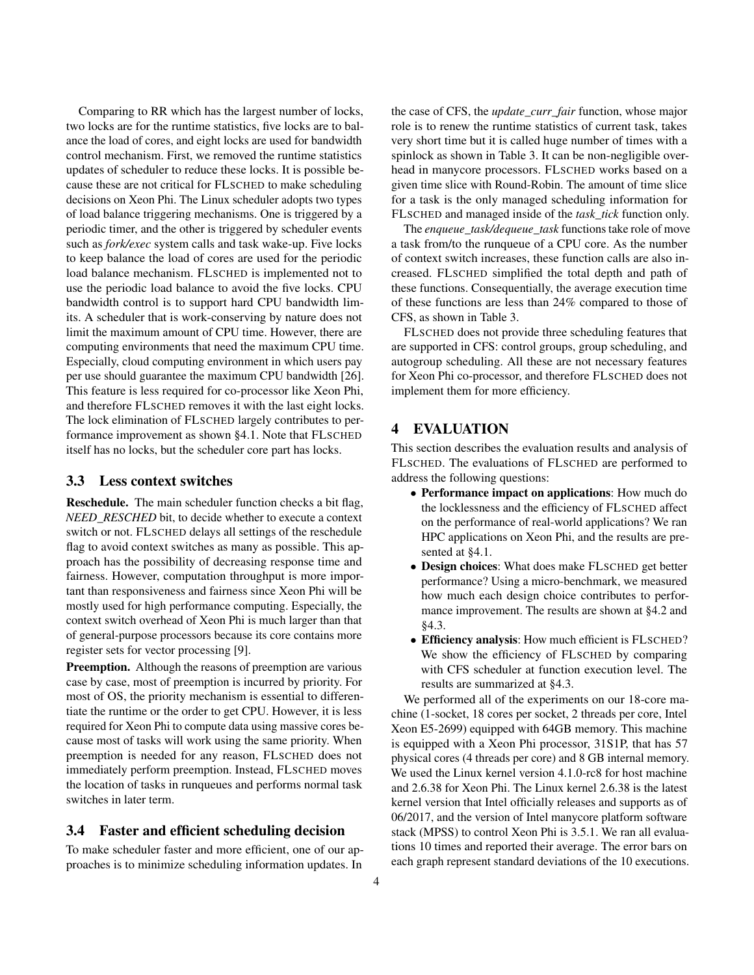Comparing to RR which has the largest number of locks, two locks are for the runtime statistics, five locks are to balance the load of cores, and eight locks are used for bandwidth control mechanism. First, we removed the runtime statistics updates of scheduler to reduce these locks. It is possible because these are not critical for FLSCHED to make scheduling decisions on Xeon Phi. The Linux scheduler adopts two types of load balance triggering mechanisms. One is triggered by a periodic timer, and the other is triggered by scheduler events such as *fork/exec* system calls and task wake-up. Five locks to keep balance the load of cores are used for the periodic load balance mechanism. FLSCHED is implemented not to use the periodic load balance to avoid the five locks. CPU bandwidth control is to support hard CPU bandwidth limits. A scheduler that is work-conserving by nature does not limit the maximum amount of CPU time. However, there are computing environments that need the maximum CPU time. Especially, cloud computing environment in which users pay per use should guarantee the maximum CPU bandwidth [\[26\]](#page-7-9). This feature is less required for co-processor like Xeon Phi, and therefore FLSCHED removes it with the last eight locks. The lock elimination of FLSCHED largely contributes to performance improvement as shown [§4.1.](#page-4-1) Note that FLSCHED itself has no locks, but the scheduler core part has locks.

#### <span id="page-3-1"></span>3.3 Less context switches

Reschedule. The main scheduler function checks a bit flag, *NEED\_RESCHED* bit, to decide whether to execute a context switch or not. FLSCHED delays all settings of the reschedule flag to avoid context switches as many as possible. This approach has the possibility of decreasing response time and fairness. However, computation throughput is more important than responsiveness and fairness since Xeon Phi will be mostly used for high performance computing. Especially, the context switch overhead of Xeon Phi is much larger than that of general-purpose processors because its core contains more register sets for vector processing [\[9\]](#page-6-3).

Preemption. Although the reasons of preemption are various case by case, most of preemption is incurred by priority. For most of OS, the priority mechanism is essential to differentiate the runtime or the order to get CPU. However, it is less required for Xeon Phi to compute data using massive cores because most of tasks will work using the same priority. When preemption is needed for any reason, FLSCHED does not immediately perform preemption. Instead, FLSCHED moves the location of tasks in runqueues and performs normal task switches in later term.

#### 3.4 Faster and efficient scheduling decision

To make scheduler faster and more efficient, one of our approaches is to minimize scheduling information updates. In

the case of CFS, the *update\_curr\_fair* function, whose major role is to renew the runtime statistics of current task, takes very short time but it is called huge number of times with a spinlock as shown in [Table 3.](#page-5-0) It can be non-negligible overhead in manycore processors. FLSCHED works based on a given time slice with Round-Robin. The amount of time slice for a task is the only managed scheduling information for FLSCHED and managed inside of the *task\_tick* function only.

The *enqueue\_task/dequeue\_task* functions take role of move a task from/to the runqueue of a CPU core. As the number of context switch increases, these function calls are also increased. FLSCHED simplified the total depth and path of these functions. Consequentially, the average execution time of these functions are less than 24% compared to those of CFS, as shown in [Table 3.](#page-5-0)

FLSCHED does not provide three scheduling features that are supported in CFS: control groups, group scheduling, and autogroup scheduling. All these are not necessary features for Xeon Phi co-processor, and therefore FLSCHED does not implement them for more efficiency.

#### <span id="page-3-0"></span>4 EVALUATION

This section describes the evaluation results and analysis of FLSCHED. The evaluations of FLSCHED are performed to address the following questions:

- ∙ Performance impact on applications: How much do the locklessness and the efficiency of FLSCHED affect on the performance of real-world applications? We ran HPC applications on Xeon Phi, and the results are presented at [§4.1.](#page-4-1)
- ∙ Design choices: What does make FLSCHED get better performance? Using a micro-benchmark, we measured how much each design choice contributes to performance improvement. The results are shown at [§4.2](#page-4-2) and [§4.3.](#page-5-1)
- ∙ Efficiency analysis: How much efficient is FLSCHED? We show the efficiency of FLSCHED by comparing with CFS scheduler at function execution level. The results are summarized at [§4.3.](#page-5-1)

We performed all of the experiments on our 18-core machine (1-socket, 18 cores per socket, 2 threads per core, Intel Xeon E5-2699) equipped with 64GB memory. This machine is equipped with a Xeon Phi processor, 31S1P, that has 57 physical cores (4 threads per core) and 8 GB internal memory. We used the Linux kernel version 4.1.0-rc8 for host machine and 2.6.38 for Xeon Phi. The Linux kernel 2.6.38 is the latest kernel version that Intel officially releases and supports as of 06/2017, and the version of Intel manycore platform software stack (MPSS) to control Xeon Phi is 3.5.1. We ran all evaluations 10 times and reported their average. The error bars on each graph represent standard deviations of the 10 executions.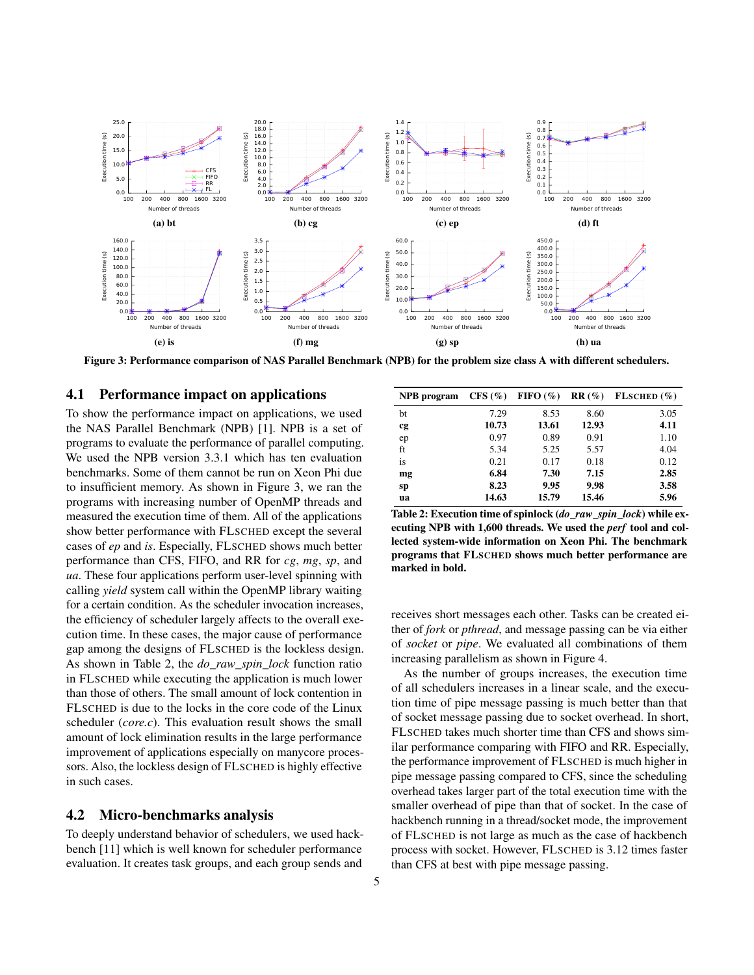<span id="page-4-3"></span>

Figure 3: Performance comparison of NAS Parallel Benchmark (NPB) for the problem size class A with different schedulers.

#### <span id="page-4-1"></span>4.1 Performance impact on applications

To show the performance impact on applications, we used the NAS Parallel Benchmark (NPB) [\[1\]](#page-6-9). NPB is a set of programs to evaluate the performance of parallel computing. We used the NPB version 3.3.1 which has ten evaluation benchmarks. Some of them cannot be run on Xeon Phi due to insufficient memory. As shown in [Figure 3,](#page-4-3) we ran the programs with increasing number of OpenMP threads and measured the execution time of them. All of the applications show better performance with FLSCHED except the several cases of *ep* and *is*. Especially, FLSCHED shows much better performance than CFS, FIFO, and RR for *cg*, *mg*, *sp*, and *ua*. These four applications perform user-level spinning with calling *yield* system call within the OpenMP library waiting for a certain condition. As the scheduler invocation increases, the efficiency of scheduler largely affects to the overall execution time. In these cases, the major cause of performance gap among the designs of FLSCHED is the lockless design. As shown in [Table 2,](#page-4-0) the *do\_raw\_spin\_lock* function ratio in FLSCHED while executing the application is much lower than those of others. The small amount of lock contention in FLSCHED is due to the locks in the core code of the Linux scheduler (*core.c*). This evaluation result shows the small amount of lock elimination results in the large performance improvement of applications especially on manycore processors. Also, the lockless design of FLSCHED is highly effective in such cases.

#### <span id="page-4-2"></span>4.2 Micro-benchmarks analysis

To deeply understand behavior of schedulers, we used hackbench [\[11\]](#page-6-10) which is well known for scheduler performance evaluation. It creates task groups, and each group sends and

<span id="page-4-0"></span>

| NPB program | CFS(%) | FIFO $(\% )$ | $RR(\%)$ | FLSCHED (%) |
|-------------|--------|--------------|----------|-------------|
| bt          | 7.29   | 8.53         | 8.60     | 3.05        |
| cg          | 10.73  | 13.61        | 12.93    | 4.11        |
| ep          | 0.97   | 0.89         | 0.91     | 1.10        |
| ft          | 5.34   | 5.25         | 5.57     | 4.04        |
| is          | 0.21   | 0.17         | 0.18     | 0.12        |
| mg          | 6.84   | 7.30         | 7.15     | 2.85        |
| sp          | 8.23   | 9.95         | 9.98     | 3.58        |
| ua          | 14.63  | 15.79        | 15.46    | 5.96        |

Table 2: Execution time of spinlock (*do\_raw\_spin\_lock*) while executing NPB with 1,600 threads. We used the *perf* tool and collected system-wide information on Xeon Phi. The benchmark programs that FLSCHED shows much better performance are marked in bold.

receives short messages each other. Tasks can be created either of *fork* or *pthread*, and message passing can be via either of *socket* or *pipe*. We evaluated all combinations of them increasing parallelism as shown in [Figure 4.](#page-5-2)

As the number of groups increases, the execution time of all schedulers increases in a linear scale, and the execution time of pipe message passing is much better than that of socket message passing due to socket overhead. In short, FLSCHED takes much shorter time than CFS and shows similar performance comparing with FIFO and RR. Especially, the performance improvement of FLSCHED is much higher in pipe message passing compared to CFS, since the scheduling overhead takes larger part of the total execution time with the smaller overhead of pipe than that of socket. In the case of hackbench running in a thread/socket mode, the improvement of FLSCHED is not large as much as the case of hackbench process with socket. However, FLSCHED is 3.12 times faster than CFS at best with pipe message passing.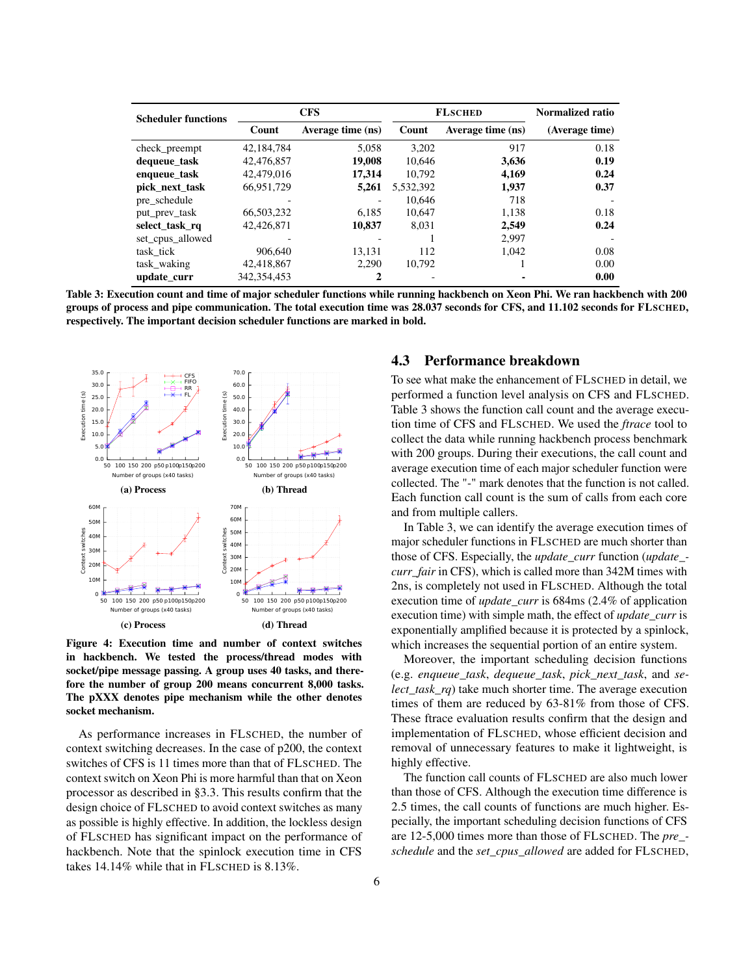<span id="page-5-0"></span>

| <b>Scheduler functions</b> | <b>CFS</b>    |                   | <b>FLSCHED</b> |                   | <b>Normalized ratio</b> |
|----------------------------|---------------|-------------------|----------------|-------------------|-------------------------|
|                            | Count         | Average time (ns) | Count          | Average time (ns) | (Average time)          |
| check_preempt              | 42,184,784    | 5.058             | 3.202          | 917               | 0.18                    |
| dequeue_task               | 42,476,857    | 19,008            | 10.646         | 3,636             | 0.19                    |
| enqueue_task               | 42,479,016    | 17,314            | 10.792         | 4,169             | 0.24                    |
| pick next task             | 66.951.729    | 5,261             | 5,532,392      | 1.937             | 0.37                    |
| pre schedule               |               |                   | 10.646         | 718               |                         |
| put_prev_task              | 66,503,232    | 6.185             | 10.647         | 1.138             | 0.18                    |
| select task rq             | 42,426,871    | 10,837            | 8.031          | 2.549             | 0.24                    |
| set_cpus_allowed           |               |                   |                | 2,997             |                         |
| task tick                  | 906.640       | 13.131            | 112            | 1.042             | 0.08                    |
| task waking                | 42,418,867    | 2,290             | 10.792         |                   | 0.00                    |
| update curr                | 342, 354, 453 | 2                 |                |                   | 0.00                    |

Table 3: Execution count and time of major scheduler functions while running hackbench on Xeon Phi. We ran hackbench with 200 groups of process and pipe communication. The total execution time was 28.037 seconds for CFS, and 11.102 seconds for FLSCHED, respectively. The important decision scheduler functions are marked in bold.

<span id="page-5-2"></span>

Figure 4: Execution time and number of context switches in hackbench. We tested the process/thread modes with socket/pipe message passing. A group uses 40 tasks, and therefore the number of group 200 means concurrent 8,000 tasks. The pXXX denotes pipe mechanism while the other denotes socket mechanism.

As performance increases in FLSCHED, the number of context switching decreases. In the case of p200, the context switches of CFS is 11 times more than that of FLSCHED. The context switch on Xeon Phi is more harmful than that on Xeon processor as described in [§3.3.](#page-3-1) This results confirm that the design choice of FLSCHED to avoid context switches as many as possible is highly effective. In addition, the lockless design of FLSCHED has significant impact on the performance of hackbench. Note that the spinlock execution time in CFS takes 14.14% while that in FLSCHED is 8.13%.

#### <span id="page-5-1"></span>4.3 Performance breakdown

To see what make the enhancement of FLSCHED in detail, we performed a function level analysis on CFS and FLSCHED. [Table 3](#page-5-0) shows the function call count and the average execution time of CFS and FLSCHED. We used the *ftrace* tool to collect the data while running hackbench process benchmark with 200 groups. During their executions, the call count and average execution time of each major scheduler function were collected. The "-" mark denotes that the function is not called. Each function call count is the sum of calls from each core and from multiple callers.

In [Table 3,](#page-5-0) we can identify the average execution times of major scheduler functions in FLSCHED are much shorter than those of CFS. Especially, the *update\_curr* function (*update\_ curr\_fair* in CFS), which is called more than 342M times with 2ns, is completely not used in FLSCHED. Although the total execution time of *update\_curr* is 684ms (2.4% of application execution time) with simple math, the effect of *update\_curr* is exponentially amplified because it is protected by a spinlock, which increases the sequential portion of an entire system.

Moreover, the important scheduling decision functions (e.g. *enqueue\_task*, *dequeue\_task*, *pick\_next\_task*, and *select\_task\_rq*) take much shorter time. The average execution times of them are reduced by 63-81% from those of CFS. These ftrace evaluation results confirm that the design and implementation of FLSCHED, whose efficient decision and removal of unnecessary features to make it lightweight, is highly effective.

The function call counts of FLSCHED are also much lower than those of CFS. Although the execution time difference is 2.5 times, the call counts of functions are much higher. Especially, the important scheduling decision functions of CFS are 12-5,000 times more than those of FLSCHED. The *pre\_ schedule* and the *set\_cpus\_allowed* are added for FLSCHED,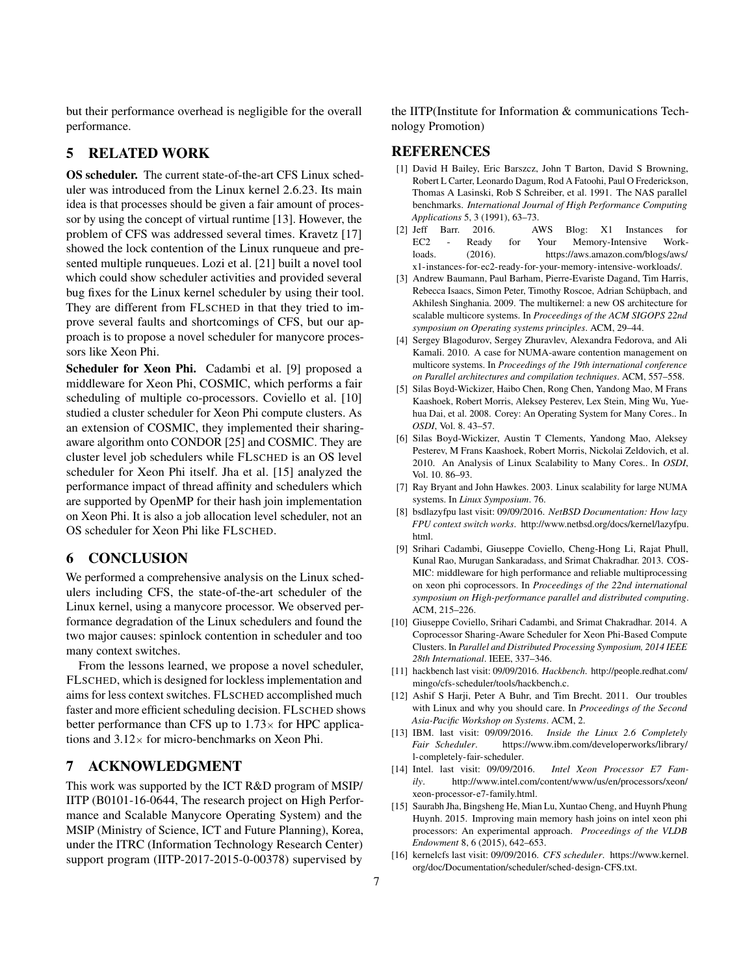but their performance overhead is negligible for the overall performance.

#### <span id="page-6-4"></span>5 RELATED WORK

OS scheduler. The current state-of-the-art CFS Linux scheduler was introduced from the Linux kernel 2.6.23. Its main idea is that processes should be given a fair amount of processor by using the concept of virtual runtime [\[13\]](#page-6-12). However, the problem of CFS was addressed several times. Kravetz [\[17\]](#page-7-7) showed the lock contention of the Linux runqueue and presented multiple runqueues. Lozi et al. [\[21\]](#page-7-10) built a novel tool which could show scheduler activities and provided several bug fixes for the Linux kernel scheduler by using their tool. They are different from FLSCHED in that they tried to improve several faults and shortcomings of CFS, but our approach is to propose a novel scheduler for manycore processors like Xeon Phi.

Scheduler for Xeon Phi. Cadambi et al. [\[9\]](#page-6-3) proposed a middleware for Xeon Phi, COSMIC, which performs a fair scheduling of multiple co-processors. Coviello et al. [\[10\]](#page-6-13) studied a cluster scheduler for Xeon Phi compute clusters. As an extension of COSMIC, they implemented their sharingaware algorithm onto CONDOR [\[25\]](#page-7-11) and COSMIC. They are cluster level job schedulers while FLSCHED is an OS level scheduler for Xeon Phi itself. Jha et al. [\[15\]](#page-6-14) analyzed the performance impact of thread affinity and schedulers which are supported by OpenMP for their hash join implementation on Xeon Phi. It is also a job allocation level scheduler, not an OS scheduler for Xeon Phi like FLSCHED.

## <span id="page-6-5"></span>6 CONCLUSION

We performed a comprehensive analysis on the Linux schedulers including CFS, the state-of-the-art scheduler of the Linux kernel, using a manycore processor. We observed performance degradation of the Linux schedulers and found the two major causes: spinlock contention in scheduler and too many context switches.

From the lessons learned, we propose a novel scheduler, FLSCHED, which is designed for lockless implementation and aims for less context switches. FLSCHED accomplished much faster and more efficient scheduling decision. FLSCHED shows better performance than CFS up to  $1.73\times$  for HPC applications and  $3.12\times$  for micro-benchmarks on Xeon Phi.

## 7 ACKNOWLEDGMENT

This work was supported by the ICT R&D program of MSIP/ IITP (B0101-16-0644, The research project on High Performance and Scalable Manycore Operating System) and the MSIP (Ministry of Science, ICT and Future Planning), Korea, under the ITRC (Information Technology Research Center) support program (IITP-2017-2015-0-00378) supervised by

the IITP(Institute for Information & communications Technology Promotion)

### **REFERENCES**

- <span id="page-6-9"></span>[1] David H Bailey, Eric Barszcz, John T Barton, David S Browning, Robert L Carter, Leonardo Dagum, Rod A Fatoohi, Paul O Frederickson, Thomas A Lasinski, Rob S Schreiber, et al. 1991. The NAS parallel benchmarks. *International Journal of High Performance Computing Applications* 5, 3 (1991), 63–73.
- <span id="page-6-1"></span>[2] Jeff Barr. 2016. AWS Blog: X1 Instances for EC2 - Ready for Your Memory-Intensive Workloads. (2016). [https://aws.amazon.com/blogs/aws/](https://aws.amazon.com/blogs/aws/x1-instances-for-ec2-ready-for-your-memory-intensive-workloads/) [x1-instances-for-ec2-ready-for-your-memory-intensive-workloads/.](https://aws.amazon.com/blogs/aws/x1-instances-for-ec2-ready-for-your-memory-intensive-workloads/)
- <span id="page-6-6"></span>[3] Andrew Baumann, Paul Barham, Pierre-Evariste Dagand, Tim Harris, Rebecca Isaacs, Simon Peter, Timothy Roscoe, Adrian Schüpbach, and Akhilesh Singhania. 2009. The multikernel: a new OS architecture for scalable multicore systems. In *Proceedings of the ACM SIGOPS 22nd symposium on Operating systems principles*. ACM, 29–44.
- [4] Sergey Blagodurov, Sergey Zhuravlev, Alexandra Fedorova, and Ali Kamali. 2010. A case for NUMA-aware contention management on multicore systems. In *Proceedings of the 19th international conference on Parallel architectures and compilation techniques*. ACM, 557–558.
- [5] Silas Boyd-Wickizer, Haibo Chen, Rong Chen, Yandong Mao, M Frans Kaashoek, Robert Morris, Aleksey Pesterev, Lex Stein, Ming Wu, Yuehua Dai, et al. 2008. Corey: An Operating System for Many Cores.. In *OSDI*, Vol. 8. 43–57.
- [6] Silas Boyd-Wickizer, Austin T Clements, Yandong Mao, Aleksey Pesterev, M Frans Kaashoek, Robert Morris, Nickolai Zeldovich, et al. 2010. An Analysis of Linux Scalability to Many Cores.. In *OSDI*, Vol. 10. 86–93.
- <span id="page-6-7"></span>[7] Ray Bryant and John Hawkes. 2003. Linux scalability for large NUMA systems. In *Linux Symposium*. 76.
- <span id="page-6-2"></span>[8] bsdlazyfpu last visit: 09/09/2016. *NetBSD Documentation: How lazy FPU context switch works*. [http://www.netbsd.org/docs/kernel/lazyfpu.](http://www.netbsd.org/docs/kernel/lazyfpu.html) [html.](http://www.netbsd.org/docs/kernel/lazyfpu.html)
- <span id="page-6-3"></span>[9] Srihari Cadambi, Giuseppe Coviello, Cheng-Hong Li, Rajat Phull, Kunal Rao, Murugan Sankaradass, and Srimat Chakradhar. 2013. COS-MIC: middleware for high performance and reliable multiprocessing on xeon phi coprocessors. In *Proceedings of the 22nd international symposium on High-performance parallel and distributed computing*. ACM, 215–226.
- <span id="page-6-13"></span>[10] Giuseppe Coviello, Srihari Cadambi, and Srimat Chakradhar. 2014. A Coprocessor Sharing-Aware Scheduler for Xeon Phi-Based Compute Clusters. In *Parallel and Distributed Processing Symposium, 2014 IEEE 28th International*. IEEE, 337–346.
- <span id="page-6-10"></span>[11] hackbench last visit: 09/09/2016. *Hackbench*. [http://people.redhat.com/](http://people.redhat.com/mingo/cfs-scheduler/tools/hackbench.c) [mingo/cfs-scheduler/tools/hackbench.c.](http://people.redhat.com/mingo/cfs-scheduler/tools/hackbench.c)
- <span id="page-6-8"></span>[12] Ashif S Harji, Peter A Buhr, and Tim Brecht. 2011. Our troubles with Linux and why you should care. In *Proceedings of the Second Asia-Pacific Workshop on Systems*. ACM, 2.
- <span id="page-6-12"></span>[13] IBM. last visit: 09/09/2016. *Inside the Linux 2.6 Completely Fair Scheduler*. [https://www.ibm.com/developerworks/library/](https://www.ibm.com/developerworks/library/l-completely-fair-scheduler) [l-completely-fair-scheduler.](https://www.ibm.com/developerworks/library/l-completely-fair-scheduler)
- <span id="page-6-0"></span>[14] Intel. last visit: 09/09/2016. *Intel Xeon Processor E7 Family*. [http://www.intel.com/content/www/us/en/processors/xeon/](http://www.intel.com/content/www/us/en/processors/xeon/xeon-processor-e7-family.html) [xeon-processor-e7-family.html.](http://www.intel.com/content/www/us/en/processors/xeon/xeon-processor-e7-family.html)
- <span id="page-6-14"></span>[15] Saurabh Jha, Bingsheng He, Mian Lu, Xuntao Cheng, and Huynh Phung Huynh. 2015. Improving main memory hash joins on intel xeon phi processors: An experimental approach. *Proceedings of the VLDB Endowment* 8, 6 (2015), 642–653.
- <span id="page-6-11"></span>[16] kernelcfs last visit: 09/09/2016. *CFS scheduler*. [https://www.kernel.](https://www.kernel.org/doc/Documentation/scheduler/sched-design-CFS.txt) [org/doc/Documentation/scheduler/sched-design-CFS.txt.](https://www.kernel.org/doc/Documentation/scheduler/sched-design-CFS.txt)